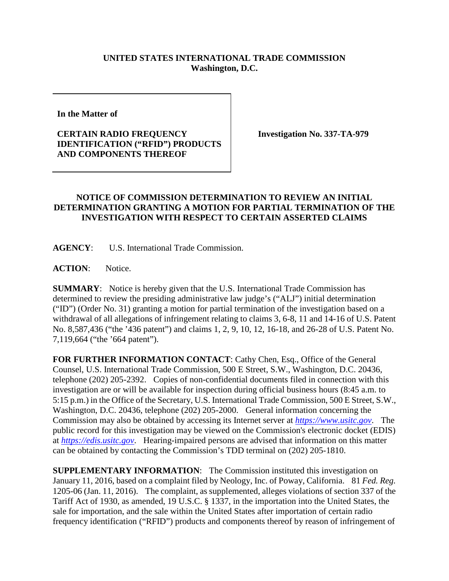## **UNITED STATES INTERNATIONAL TRADE COMMISSION Washington, D.C.**

**In the Matter of** 

## **CERTAIN RADIO FREQUENCY IDENTIFICATION ("RFID") PRODUCTS AND COMPONENTS THEREOF**

**Investigation No. 337-TA-979**

## **NOTICE OF COMMISSION DETERMINATION TO REVIEW AN INITIAL DETERMINATION GRANTING A MOTION FOR PARTIAL TERMINATION OF THE INVESTIGATION WITH RESPECT TO CERTAIN ASSERTED CLAIMS**

**AGENCY**: U.S. International Trade Commission.

**ACTION**: Notice.

**SUMMARY**: Notice is hereby given that the U.S. International Trade Commission has determined to review the presiding administrative law judge's ("ALJ") initial determination ("ID") (Order No. 31) granting a motion for partial termination of the investigation based on a withdrawal of all allegations of infringement relating to claims 3, 6-8, 11 and 14-16 of U.S. Patent No. 8,587,436 ("the '436 patent") and claims 1, 2, 9, 10, 12, 16-18, and 26-28 of U.S. Patent No. 7,119,664 ("the '664 patent").

**FOR FURTHER INFORMATION CONTACT**: Cathy Chen, Esq., Office of the General Counsel, U.S. International Trade Commission, 500 E Street, S.W., Washington, D.C. 20436, telephone (202) 205-2392. Copies of non-confidential documents filed in connection with this investigation are or will be available for inspection during official business hours (8:45 a.m. to 5:15 p.m.) in the Office of the Secretary, U.S. International Trade Commission, 500 E Street, S.W., Washington, D.C. 20436, telephone (202) 205-2000. General information concerning the Commission may also be obtained by accessing its Internet server at *[https://www.usitc.gov](https://www.usitc.gov/)*. The public record for this investigation may be viewed on the Commission's electronic docket (EDIS) at *[https://edis.usitc.gov](https://edis.usitc.gov/)*. Hearing-impaired persons are advised that information on this matter can be obtained by contacting the Commission's TDD terminal on (202) 205-1810.

**SUPPLEMENTARY INFORMATION**: The Commission instituted this investigation on January 11, 2016, based on a complaint filed by Neology, Inc. of Poway, California. 81 *Fed. Reg.* 1205-06 (Jan. 11, 2016). The complaint, as supplemented, alleges violations of section 337 of the Tariff Act of 1930, as amended, 19 U.S.C. § 1337, in the importation into the United States, the sale for importation, and the sale within the United States after importation of certain radio frequency identification ("RFID") products and components thereof by reason of infringement of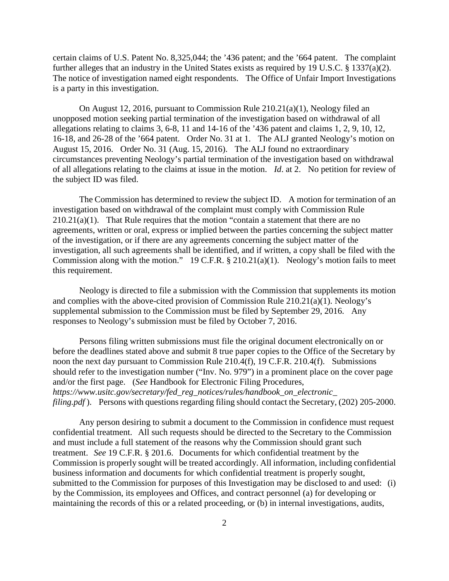certain claims of U.S. Patent No. 8,325,044; the '436 patent; and the '664 patent. The complaint further alleges that an industry in the United States exists as required by 19 U.S.C. § 1337(a)(2). The notice of investigation named eight respondents. The Office of Unfair Import Investigations is a party in this investigation.

On August 12, 2016, pursuant to Commission Rule 210.21(a)(1), Neology filed an unopposed motion seeking partial termination of the investigation based on withdrawal of all allegations relating to claims 3, 6-8, 11 and 14-16 of the '436 patent and claims 1, 2, 9, 10, 12, 16-18, and 26-28 of the '664 patent. Order No. 31 at 1. The ALJ granted Neology's motion on August 15, 2016. Order No. 31 (Aug. 15, 2016). The ALJ found no extraordinary circumstances preventing Neology's partial termination of the investigation based on withdrawal of all allegations relating to the claims at issue in the motion. *Id*. at 2. No petition for review of the subject ID was filed.

The Commission has determined to review the subject ID. A motion for termination of an investigation based on withdrawal of the complaint must comply with Commission Rule  $210.21(a)(1)$ . That Rule requires that the motion "contain a statement that there are no agreements, written or oral, express or implied between the parties concerning the subject matter of the investigation, or if there are any agreements concerning the subject matter of the investigation, all such agreements shall be identified, and if written, a copy shall be filed with the Commission along with the motion." 19 C.F.R.  $\S 210.21(a)(1)$ . Neology's motion fails to meet this requirement.

Neology is directed to file a submission with the Commission that supplements its motion and complies with the above-cited provision of Commission Rule 210.21(a)(1). Neology's supplemental submission to the Commission must be filed by September 29, 2016. Any responses to Neology's submission must be filed by October 7, 2016.

Persons filing written submissions must file the original document electronically on or before the deadlines stated above and submit 8 true paper copies to the Office of the Secretary by noon the next day pursuant to Commission Rule 210.4(f), 19 C.F.R. 210.4(f). Submissions should refer to the investigation number ("Inv. No. 979") in a prominent place on the cover page and/or the first page. (*See* Handbook for Electronic Filing Procedures, *https://www.usitc.gov/secretary/fed\_reg\_notices/rules/handbook\_on\_electronic\_ filing.pdf*). Persons with questions regarding filing should contact the Secretary, (202) 205-2000.

Any person desiring to submit a document to the Commission in confidence must request confidential treatment. All such requests should be directed to the Secretary to the Commission and must include a full statement of the reasons why the Commission should grant such treatment. *See* 19 C.F.R. § 201.6. Documents for which confidential treatment by the Commission is properly sought will be treated accordingly. All information, including confidential business information and documents for which confidential treatment is properly sought, submitted to the Commission for purposes of this Investigation may be disclosed to and used: (i) by the Commission, its employees and Offices, and contract personnel (a) for developing or maintaining the records of this or a related proceeding, or (b) in internal investigations, audits,